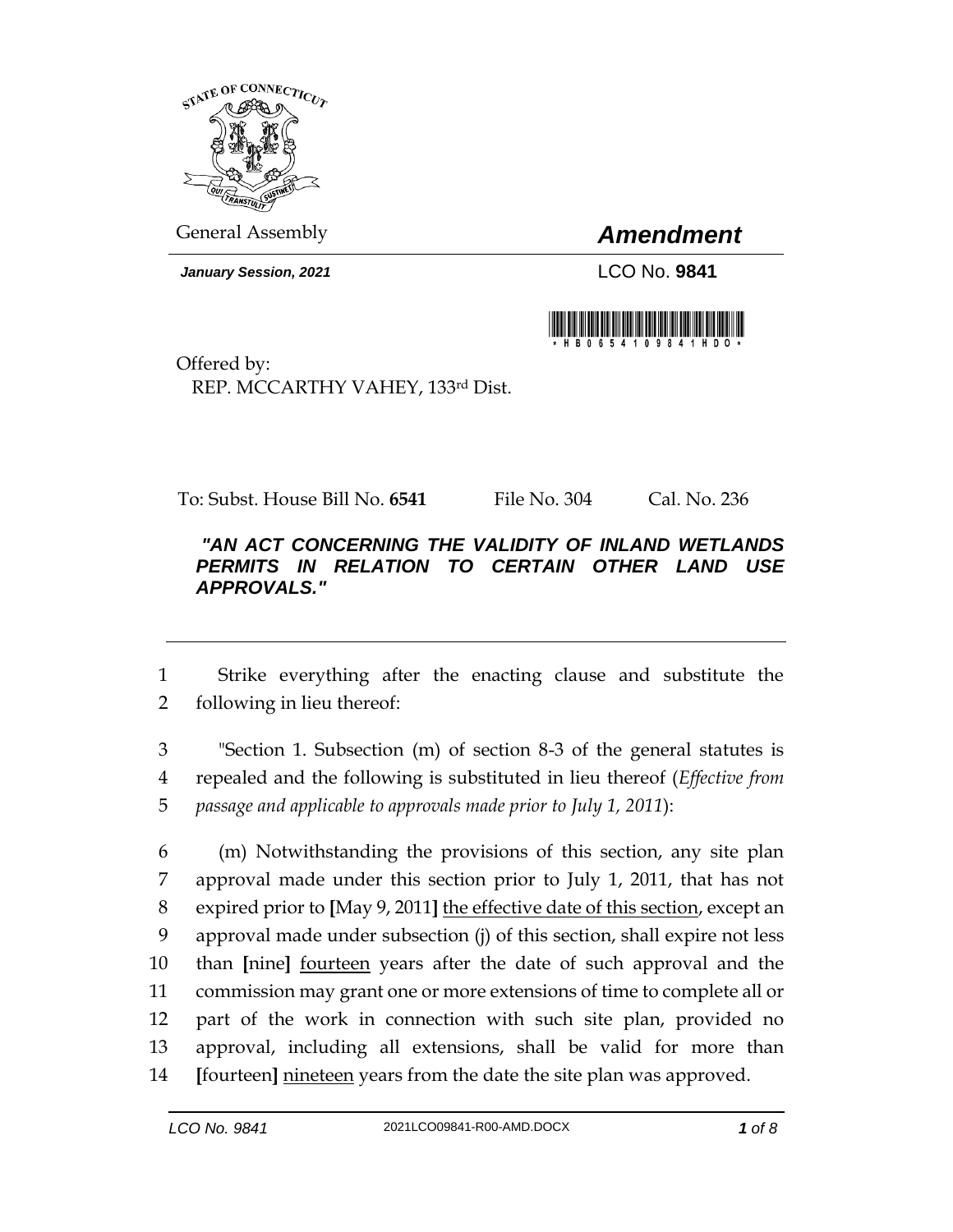

General Assembly *Amendment*

*January Session, 2021* LCO No. **9841**



Offered by: REP. MCCARTHY VAHEY, 133rd Dist.

To: Subst. House Bill No. **6541** File No. 304 Cal. No. 236

## *"AN ACT CONCERNING THE VALIDITY OF INLAND WETLANDS PERMITS IN RELATION TO CERTAIN OTHER LAND USE APPROVALS."*

 Strike everything after the enacting clause and substitute the following in lieu thereof:

 "Section 1. Subsection (m) of section 8-3 of the general statutes is repealed and the following is substituted in lieu thereof (*Effective from passage and applicable to approvals made prior to July 1, 2011*):

 (m) Notwithstanding the provisions of this section, any site plan approval made under this section prior to July 1, 2011, that has not expired prior to **[**May 9, 2011**]** the effective date of this section, except an approval made under subsection (j) of this section, shall expire not less than **[**nine**]** fourteen years after the date of such approval and the commission may grant one or more extensions of time to complete all or part of the work in connection with such site plan, provided no approval, including all extensions, shall be valid for more than **[**fourteen**]** nineteen years from the date the site plan was approved.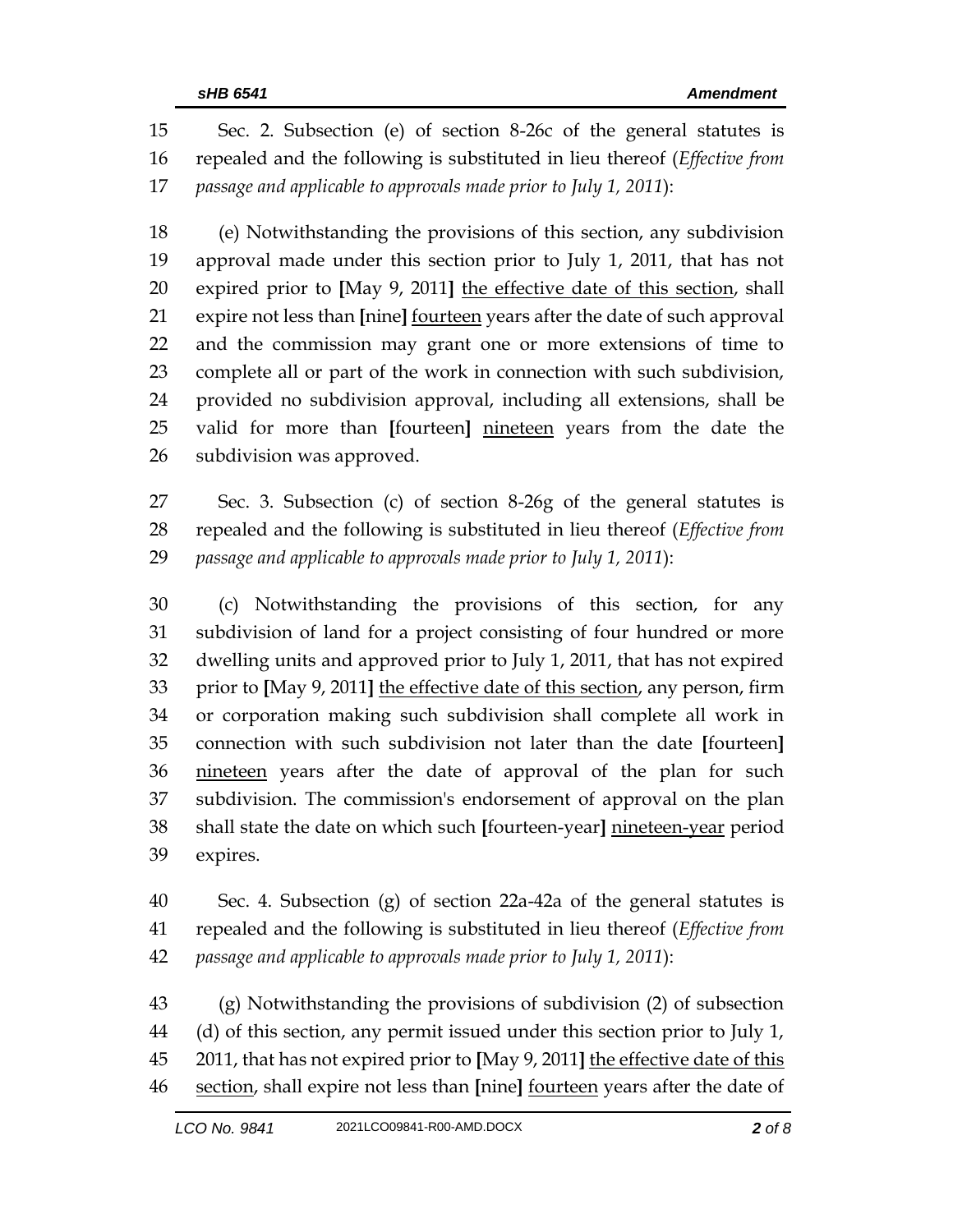Sec. 2. Subsection (e) of section 8-26c of the general statutes is repealed and the following is substituted in lieu thereof (*Effective from passage and applicable to approvals made prior to July 1, 2011*):

 (e) Notwithstanding the provisions of this section, any subdivision approval made under this section prior to July 1, 2011, that has not expired prior to **[**May 9, 2011**]** the effective date of this section, shall expire not less than **[**nine**]** fourteen years after the date of such approval and the commission may grant one or more extensions of time to complete all or part of the work in connection with such subdivision, provided no subdivision approval, including all extensions, shall be valid for more than **[**fourteen**]** nineteen years from the date the subdivision was approved.

 Sec. 3. Subsection (c) of section 8-26g of the general statutes is repealed and the following is substituted in lieu thereof (*Effective from passage and applicable to approvals made prior to July 1, 2011*):

 (c) Notwithstanding the provisions of this section, for any subdivision of land for a project consisting of four hundred or more dwelling units and approved prior to July 1, 2011, that has not expired prior to **[**May 9, 2011**]** the effective date of this section, any person, firm or corporation making such subdivision shall complete all work in connection with such subdivision not later than the date **[**fourteen**]** 36 nineteen years after the date of approval of the plan for such subdivision. The commission's endorsement of approval on the plan shall state the date on which such **[**fourteen-year**]** nineteen-year period expires.

 Sec. 4. Subsection (g) of section 22a-42a of the general statutes is repealed and the following is substituted in lieu thereof (*Effective from passage and applicable to approvals made prior to July 1, 2011*):

 (g) Notwithstanding the provisions of subdivision (2) of subsection (d) of this section, any permit issued under this section prior to July 1, 2011, that has not expired prior to **[**May 9, 2011**]** the effective date of this section, shall expire not less than **[**nine**]** fourteen years after the date of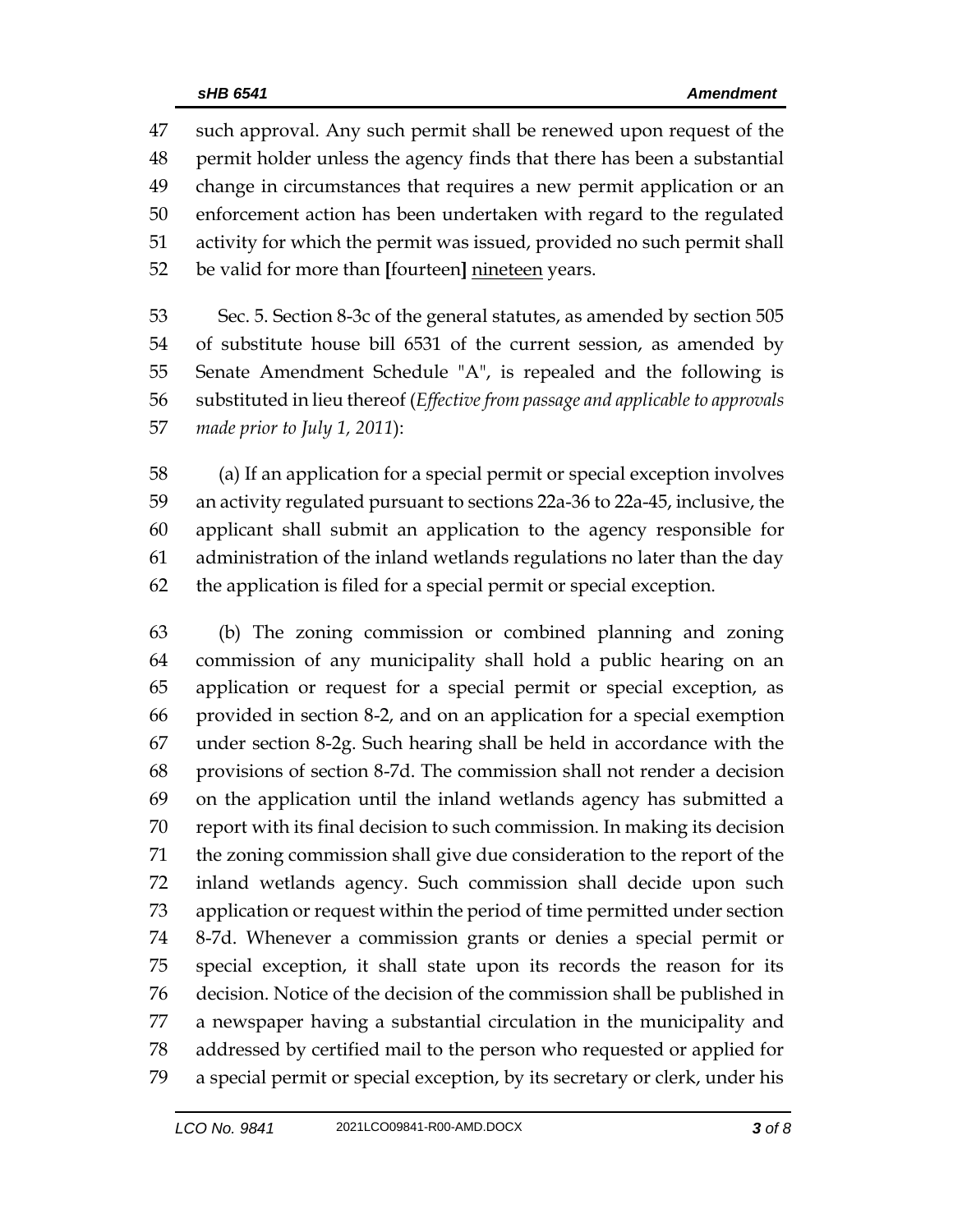such approval. Any such permit shall be renewed upon request of the permit holder unless the agency finds that there has been a substantial change in circumstances that requires a new permit application or an enforcement action has been undertaken with regard to the regulated activity for which the permit was issued, provided no such permit shall be valid for more than **[**fourteen**]** nineteen years.

 Sec. 5. Section 8-3c of the general statutes, as amended by section 505 of substitute house bill 6531 of the current session, as amended by Senate Amendment Schedule "A", is repealed and the following is substituted in lieu thereof (*Effective from passage and applicable to approvals made prior to July 1, 2011*):

 (a) If an application for a special permit or special exception involves an activity regulated pursuant to sections 22a-36 to 22a-45, inclusive, the applicant shall submit an application to the agency responsible for administration of the inland wetlands regulations no later than the day the application is filed for a special permit or special exception.

 (b) The zoning commission or combined planning and zoning commission of any municipality shall hold a public hearing on an application or request for a special permit or special exception, as provided in section 8-2, and on an application for a special exemption under section 8-2g. Such hearing shall be held in accordance with the provisions of section 8-7d. The commission shall not render a decision on the application until the inland wetlands agency has submitted a report with its final decision to such commission. In making its decision the zoning commission shall give due consideration to the report of the inland wetlands agency. Such commission shall decide upon such application or request within the period of time permitted under section 8-7d. Whenever a commission grants or denies a special permit or special exception, it shall state upon its records the reason for its decision. Notice of the decision of the commission shall be published in a newspaper having a substantial circulation in the municipality and addressed by certified mail to the person who requested or applied for a special permit or special exception, by its secretary or clerk, under his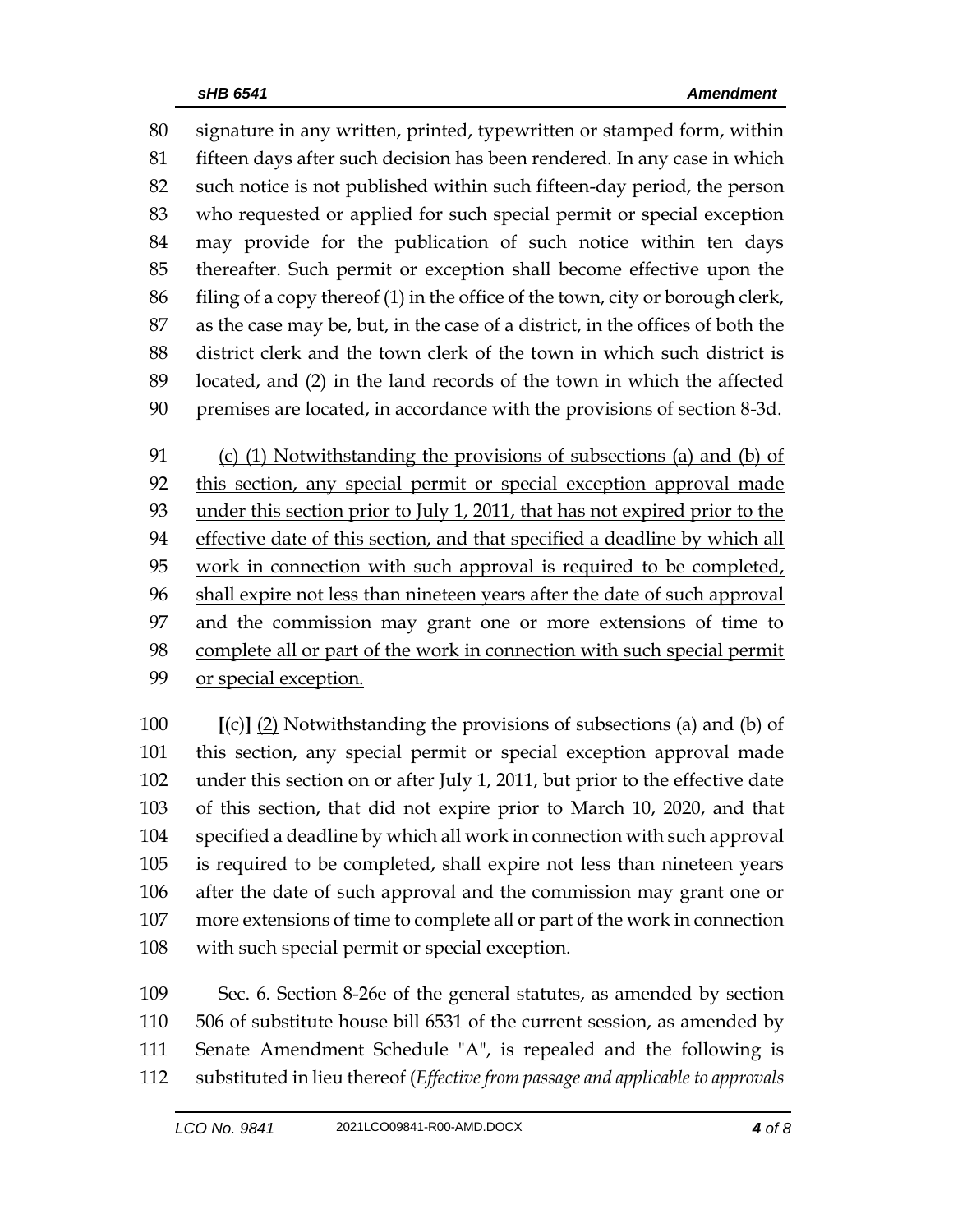signature in any written, printed, typewritten or stamped form, within fifteen days after such decision has been rendered. In any case in which such notice is not published within such fifteen-day period, the person who requested or applied for such special permit or special exception may provide for the publication of such notice within ten days thereafter. Such permit or exception shall become effective upon the filing of a copy thereof (1) in the office of the town, city or borough clerk, as the case may be, but, in the case of a district, in the offices of both the district clerk and the town clerk of the town in which such district is located, and (2) in the land records of the town in which the affected premises are located, in accordance with the provisions of section 8-3d.

 (c) (1) Notwithstanding the provisions of subsections (a) and (b) of this section, any special permit or special exception approval made under this section prior to July 1, 2011, that has not expired prior to the effective date of this section, and that specified a deadline by which all work in connection with such approval is required to be completed, shall expire not less than nineteen years after the date of such approval 97 and the commission may grant one or more extensions of time to complete all or part of the work in connection with such special permit or special exception.

 **[**(c)**]** (2) Notwithstanding the provisions of subsections (a) and (b) of this section, any special permit or special exception approval made under this section on or after July 1, 2011, but prior to the effective date of this section, that did not expire prior to March 10, 2020, and that specified a deadline by which all work in connection with such approval is required to be completed, shall expire not less than nineteen years after the date of such approval and the commission may grant one or more extensions of time to complete all or part of the work in connection with such special permit or special exception.

 Sec. 6. Section 8-26e of the general statutes, as amended by section 506 of substitute house bill 6531 of the current session, as amended by Senate Amendment Schedule "A", is repealed and the following is substituted in lieu thereof (*Effective from passage and applicable to approvals*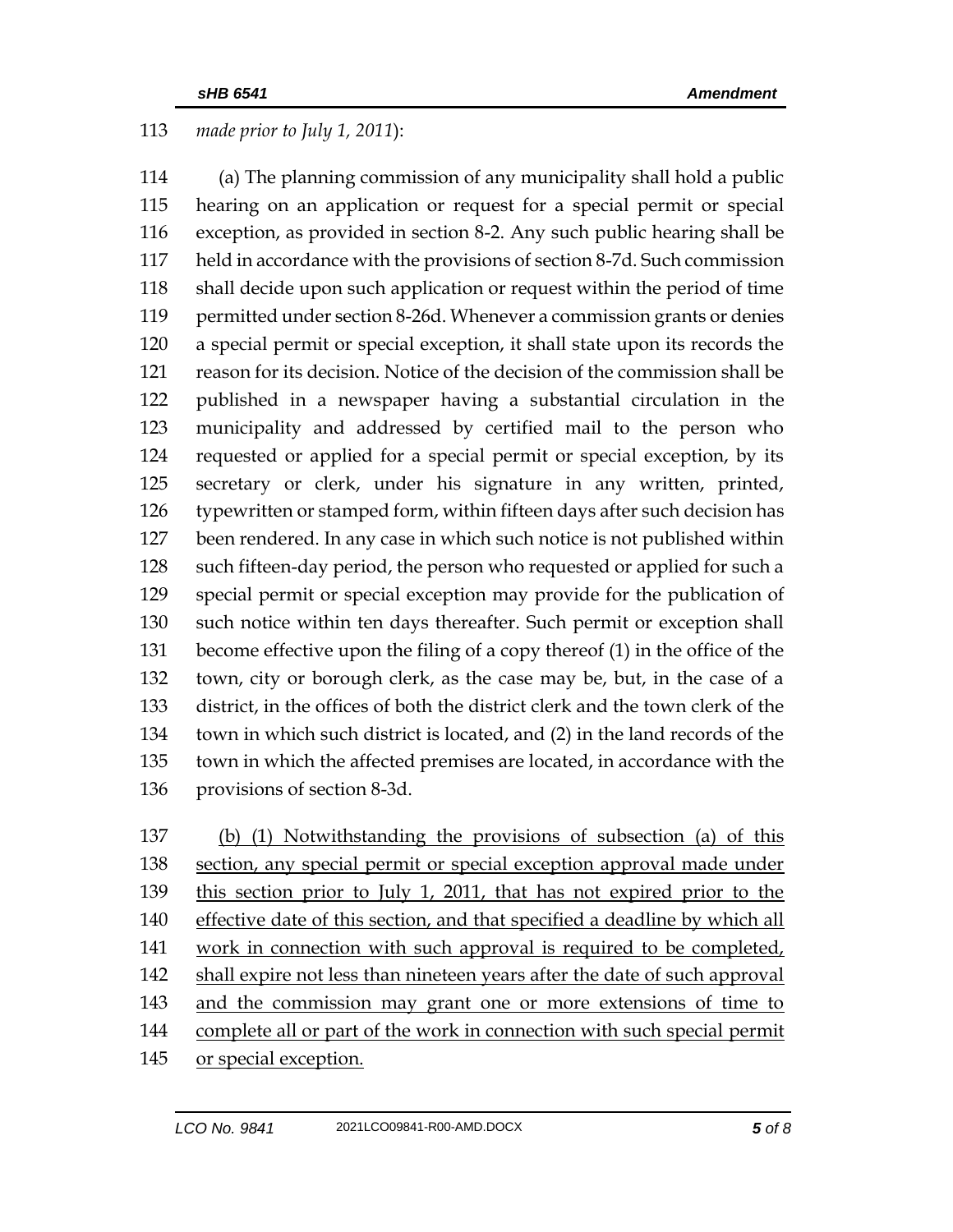## *made prior to July 1, 2011*):

 (a) The planning commission of any municipality shall hold a public hearing on an application or request for a special permit or special exception, as provided in section 8-2. Any such public hearing shall be held in accordance with the provisions of section 8-7d. Such commission shall decide upon such application or request within the period of time permitted under section 8-26d. Whenever a commission grants or denies a special permit or special exception, it shall state upon its records the reason for its decision. Notice of the decision of the commission shall be published in a newspaper having a substantial circulation in the municipality and addressed by certified mail to the person who requested or applied for a special permit or special exception, by its secretary or clerk, under his signature in any written, printed, typewritten or stamped form, within fifteen days after such decision has been rendered. In any case in which such notice is not published within such fifteen-day period, the person who requested or applied for such a special permit or special exception may provide for the publication of such notice within ten days thereafter. Such permit or exception shall become effective upon the filing of a copy thereof (1) in the office of the town, city or borough clerk, as the case may be, but, in the case of a district, in the offices of both the district clerk and the town clerk of the town in which such district is located, and (2) in the land records of the town in which the affected premises are located, in accordance with the provisions of section 8-3d.

 (b) (1) Notwithstanding the provisions of subsection (a) of this section, any special permit or special exception approval made under this section prior to July 1, 2011, that has not expired prior to the 140 effective date of this section, and that specified a deadline by which all 141 work in connection with such approval is required to be completed, shall expire not less than nineteen years after the date of such approval and the commission may grant one or more extensions of time to complete all or part of the work in connection with such special permit or special exception.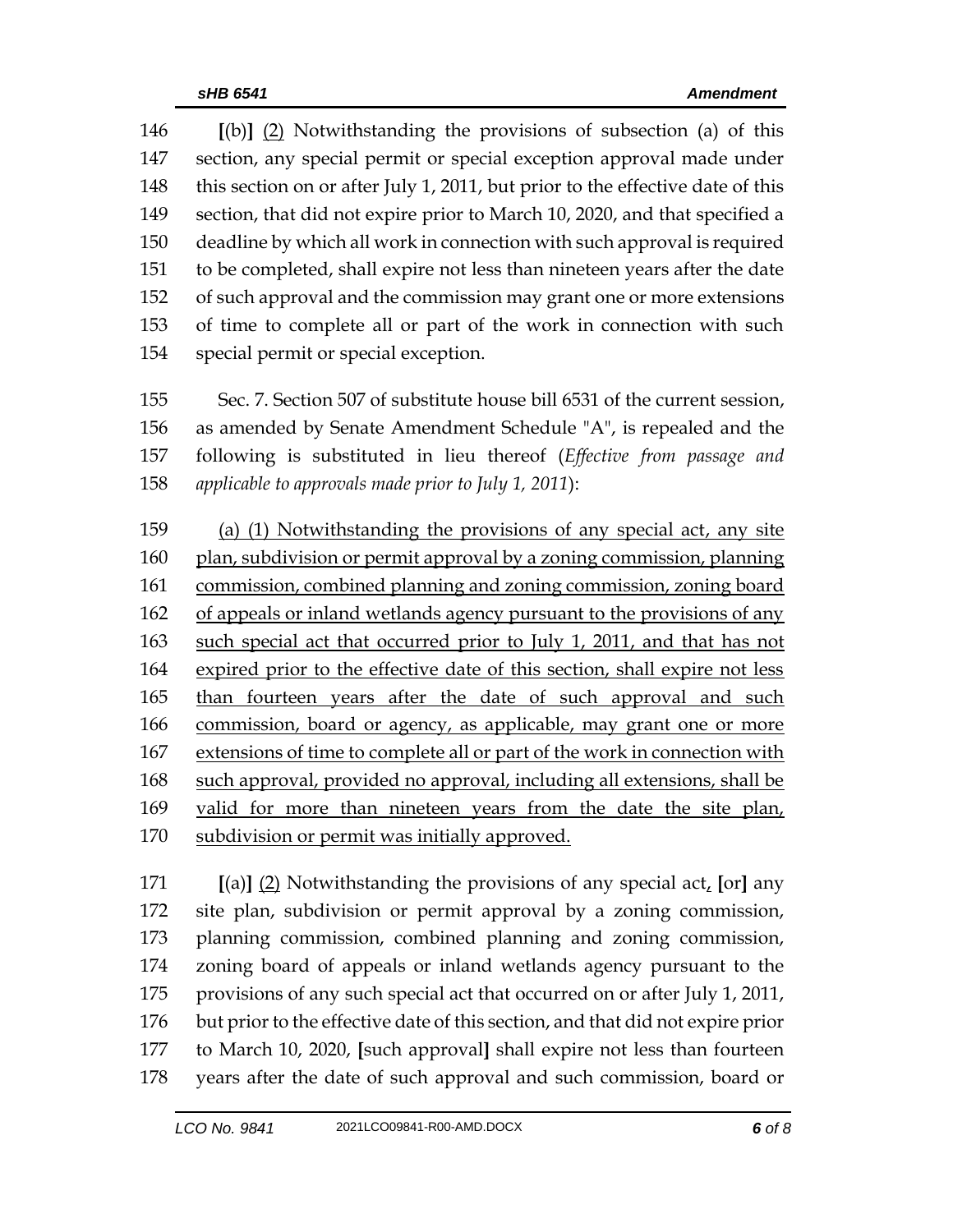**[**(b)**]** (2) Notwithstanding the provisions of subsection (a) of this section, any special permit or special exception approval made under 148 this section on or after July 1, 2011, but prior to the effective date of this section, that did not expire prior to March 10, 2020, and that specified a deadline by which all work in connection with such approval is required to be completed, shall expire not less than nineteen years after the date of such approval and the commission may grant one or more extensions of time to complete all or part of the work in connection with such special permit or special exception.

 Sec. 7. Section 507 of substitute house bill 6531 of the current session, as amended by Senate Amendment Schedule "A", is repealed and the following is substituted in lieu thereof (*Effective from passage and applicable to approvals made prior to July 1, 2011*):

 (a) (1) Notwithstanding the provisions of any special act, any site plan, subdivision or permit approval by a zoning commission, planning commission, combined planning and zoning commission, zoning board of appeals or inland wetlands agency pursuant to the provisions of any 163 such special act that occurred prior to July 1, 2011, and that has not expired prior to the effective date of this section, shall expire not less than fourteen years after the date of such approval and such commission, board or agency, as applicable, may grant one or more extensions of time to complete all or part of the work in connection with such approval, provided no approval, including all extensions, shall be valid for more than nineteen years from the date the site plan, subdivision or permit was initially approved.

 **[**(a)**]** (2) Notwithstanding the provisions of any special act, **[**or**]** any site plan, subdivision or permit approval by a zoning commission, planning commission, combined planning and zoning commission, zoning board of appeals or inland wetlands agency pursuant to the provisions of any such special act that occurred on or after July 1, 2011, but prior to the effective date of this section, and that did not expire prior to March 10, 2020, **[**such approval**]** shall expire not less than fourteen years after the date of such approval and such commission, board or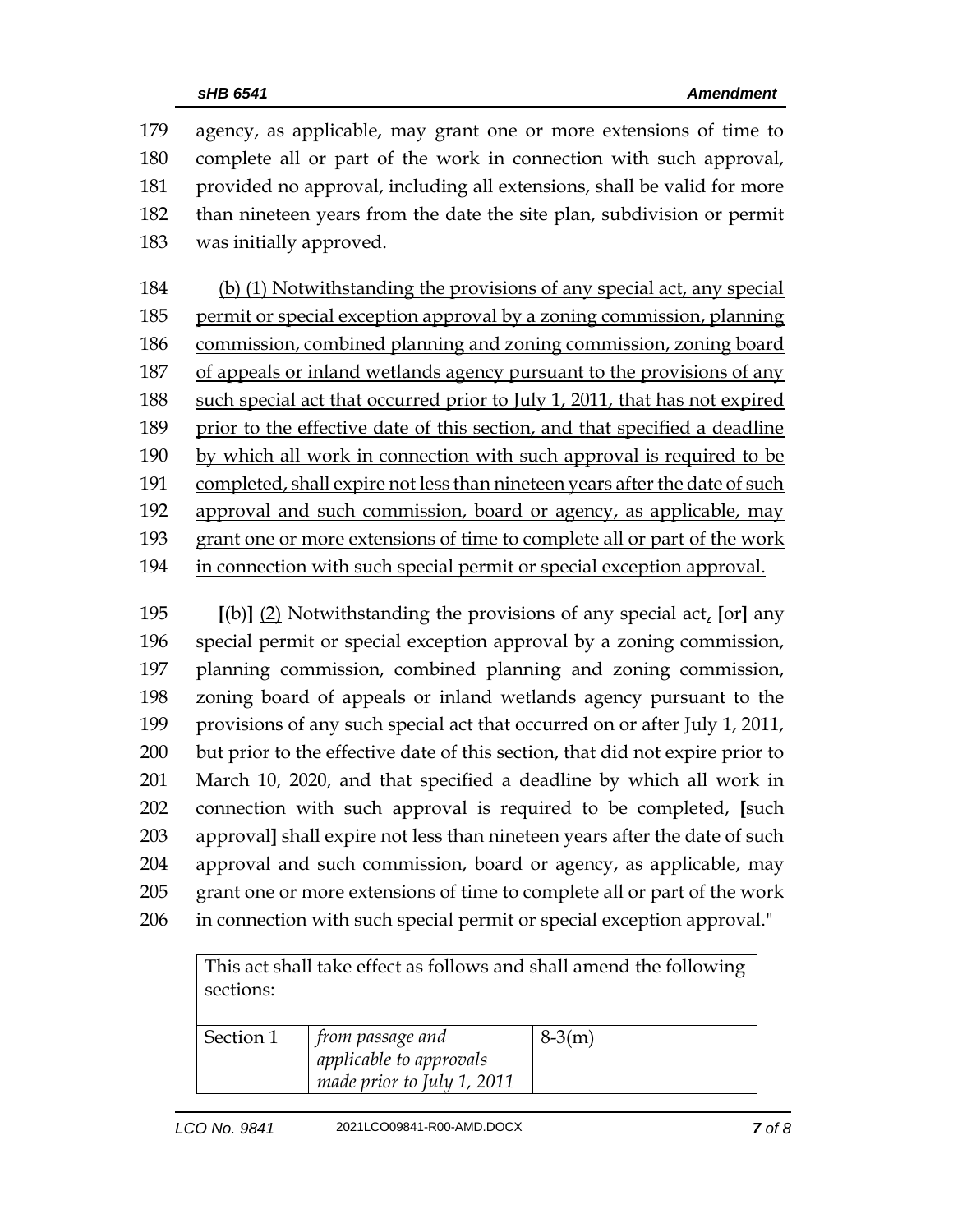agency, as applicable, may grant one or more extensions of time to complete all or part of the work in connection with such approval, provided no approval, including all extensions, shall be valid for more than nineteen years from the date the site plan, subdivision or permit was initially approved. (b) (1) Notwithstanding the provisions of any special act, any special 185 permit or special exception approval by a zoning commission, planning commission, combined planning and zoning commission, zoning board of appeals or inland wetlands agency pursuant to the provisions of any such special act that occurred prior to July 1, 2011, that has not expired prior to the effective date of this section, and that specified a deadline by which all work in connection with such approval is required to be 191 completed, shall expire not less than nineteen years after the date of such approval and such commission, board or agency, as applicable, may grant one or more extensions of time to complete all or part of the work

in connection with such special permit or special exception approval.

 **[**(b)**]** (2) Notwithstanding the provisions of any special act, **[**or**]** any special permit or special exception approval by a zoning commission, planning commission, combined planning and zoning commission, zoning board of appeals or inland wetlands agency pursuant to the provisions of any such special act that occurred on or after July 1, 2011, but prior to the effective date of this section, that did not expire prior to March 10, 2020, and that specified a deadline by which all work in connection with such approval is required to be completed, **[**such approval**]** shall expire not less than nineteen years after the date of such approval and such commission, board or agency, as applicable, may grant one or more extensions of time to complete all or part of the work in connection with such special permit or special exception approval."

| This act shall take effect as follows and shall amend the following |                                |          |  |
|---------------------------------------------------------------------|--------------------------------|----------|--|
| sections:                                                           |                                |          |  |
|                                                                     |                                |          |  |
| Section 1                                                           | $\mid$ from passage and        | $8-3(m)$ |  |
|                                                                     | <i>applicable</i> to approvals |          |  |
|                                                                     | made prior to July 1, 2011     |          |  |